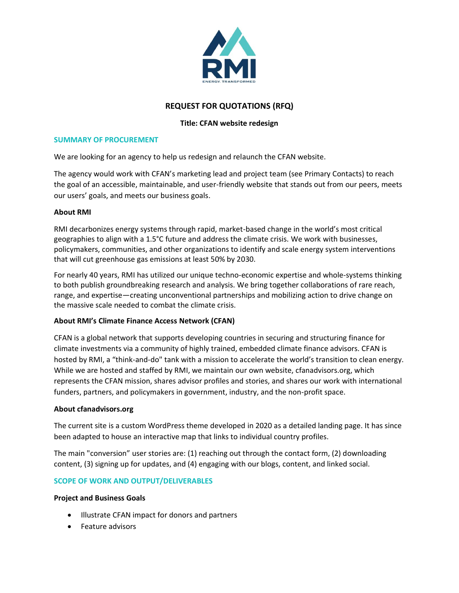

# **REQUEST FOR QUOTATIONS (RFQ)**

### **Title: CFAN website redesign**

#### **SUMMARY OF PROCUREMENT**

We are looking for an agency to help us redesign and relaunch the CFAN website.

The agency would work with CFAN's marketing lead and project team (see Primary Contacts) to reach the goal of an accessible, maintainable, and user-friendly website that stands out from our peers, meets our users' goals, and meets our business goals.

### **About RMI**

RMI decarbonizes energy systems through rapid, market-based change in the world's most critical geographies to align with a 1.5°C future and address the climate crisis. We work with businesses, policymakers, communities, and other organizations to identify and scale energy system interventions that will cut greenhouse gas emissions at least 50% by 2030.

For nearly 40 years, RMI has utilized our unique techno-economic expertise and whole-systems thinking to both publish groundbreaking research and analysis. We bring together collaborations of rare reach, range, and expertise—creating unconventional partnerships and mobilizing action to drive change on the massive scale needed to combat the climate crisis.

### **About RMI's Climate Finance Access Network (CFAN)**

CFAN is a global network that supports developing countries in securing and structuring finance for climate investments via a community of highly trained, embedded climate finance advisors. CFAN is hosted by RMI, a "think-and-do" tank with a mission to accelerate the world's transition to clean energy. While we are hosted and staffed by RMI, we maintain our own website, cfanadvisors.org, which represents the CFAN mission, shares advisor profiles and stories, and shares our work with international funders, partners, and policymakers in government, industry, and the non-profit space.

### **About cfanadvisors.org**

The current site is a custom WordPress theme developed in 2020 as a detailed landing page. It has since been adapted to house an interactive map that links to individual country profiles.

The main "conversion" user stories are: (1) reaching out through the contact form, (2) downloading content, (3) signing up for updates, and (4) engaging with our blogs, content, and linked social.

### **SCOPE OF WORK AND OUTPUT/DELIVERABLES**

### **Project and Business Goals**

- Illustrate CFAN impact for donors and partners
- Feature advisors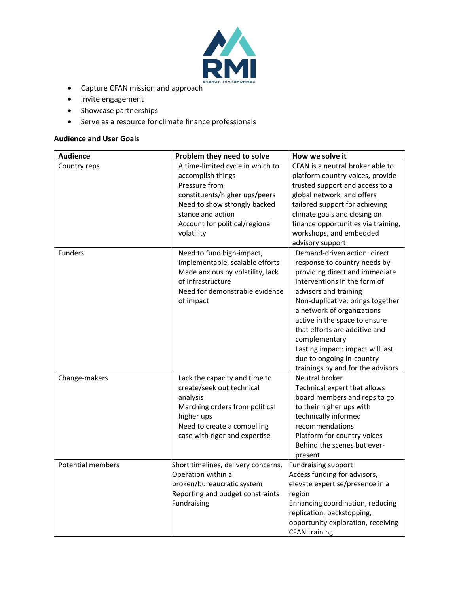

- Capture CFAN mission and approach
- Invite engagement
- Showcase partnerships
- Serve as a resource for climate finance professionals

### **Audience and User Goals**

| <b>Audience</b>          | Problem they need to solve                                                                                                                                                                                   | How we solve it                                                                                                                                                                                                                                                                                                                                                                                                    |
|--------------------------|--------------------------------------------------------------------------------------------------------------------------------------------------------------------------------------------------------------|--------------------------------------------------------------------------------------------------------------------------------------------------------------------------------------------------------------------------------------------------------------------------------------------------------------------------------------------------------------------------------------------------------------------|
| Country reps             | A time-limited cycle in which to<br>accomplish things<br>Pressure from<br>constituents/higher ups/peers<br>Need to show strongly backed<br>stance and action<br>Account for political/regional<br>volatility | CFAN is a neutral broker able to<br>platform country voices, provide<br>trusted support and access to a<br>global network, and offers<br>tailored support for achieving<br>climate goals and closing on<br>finance opportunities via training,<br>workshops, and embedded<br>advisory support                                                                                                                      |
| Funders                  | Need to fund high-impact,<br>implementable, scalable efforts<br>Made anxious by volatility, lack<br>of infrastructure<br>Need for demonstrable evidence<br>of impact                                         | Demand-driven action: direct<br>response to country needs by<br>providing direct and immediate<br>interventions in the form of<br>advisors and training<br>Non-duplicative: brings together<br>a network of organizations<br>active in the space to ensure<br>that efforts are additive and<br>complementary<br>Lasting impact: impact will last<br>due to ongoing in-country<br>trainings by and for the advisors |
| Change-makers            | Lack the capacity and time to<br>create/seek out technical<br>analysis<br>Marching orders from political<br>higher ups<br>Need to create a compelling<br>case with rigor and expertise                       | Neutral broker<br>Technical expert that allows<br>board members and reps to go<br>to their higher ups with<br>technically informed<br>recommendations<br>Platform for country voices<br>Behind the scenes but ever-<br>present                                                                                                                                                                                     |
| <b>Potential members</b> | Short timelines, delivery concerns,<br>Operation within a<br>broken/bureaucratic system<br>Reporting and budget constraints<br>Fundraising                                                                   | <b>Fundraising support</b><br>Access funding for advisors,<br>elevate expertise/presence in a<br>region<br>Enhancing coordination, reducing<br>replication, backstopping,<br>opportunity exploration, receiving<br><b>CFAN training</b>                                                                                                                                                                            |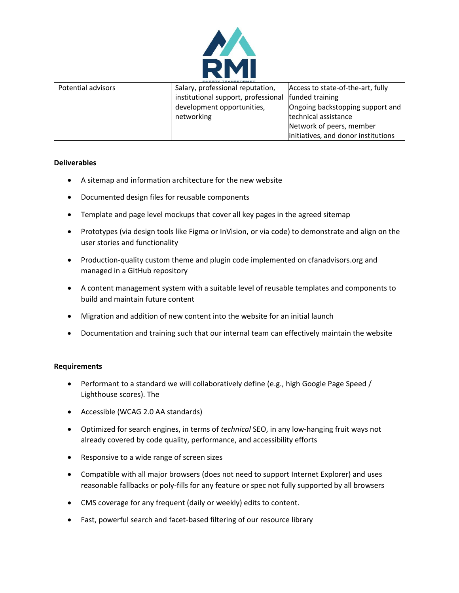

| Potential advisors | Salary, professional reputation,    | Access to state-of-the-art, fully   |
|--------------------|-------------------------------------|-------------------------------------|
|                    | institutional support, professional | funded training                     |
|                    | development opportunities,          | Ongoing backstopping support and    |
|                    | networking                          | technical assistance                |
|                    |                                     | Network of peers, member            |
|                    |                                     | initiatives, and donor institutions |

### **Deliverables**

- A sitemap and information architecture for the new website
- Documented design files for reusable components
- Template and page level mockups that cover all key pages in the agreed sitemap
- Prototypes (via design tools like Figma or InVision, or via code) to demonstrate and align on the user stories and functionality
- Production-quality custom theme and plugin code implemented on cfanadvisors.org and managed in a GitHub repository
- A content management system with a suitable level of reusable templates and components to build and maintain future content
- Migration and addition of new content into the website for an initial launch
- Documentation and training such that our internal team can effectively maintain the website

### **Requirements**

- Performant to a standard we will collaboratively define (e.g., high Google Page Speed / Lighthouse scores). The
- Accessible (WCAG 2.0 AA standards)
- Optimized for search engines, in terms of *technical* SEO, in any low-hanging fruit ways not already covered by code quality, performance, and accessibility efforts
- Responsive to a wide range of screen sizes
- Compatible with all major browsers (does not need to support Internet Explorer) and uses reasonable fallbacks or poly-fills for any feature or spec not fully supported by all browsers
- CMS coverage for any frequent (daily or weekly) edits to content.
- Fast, powerful search and facet-based filtering of our resource library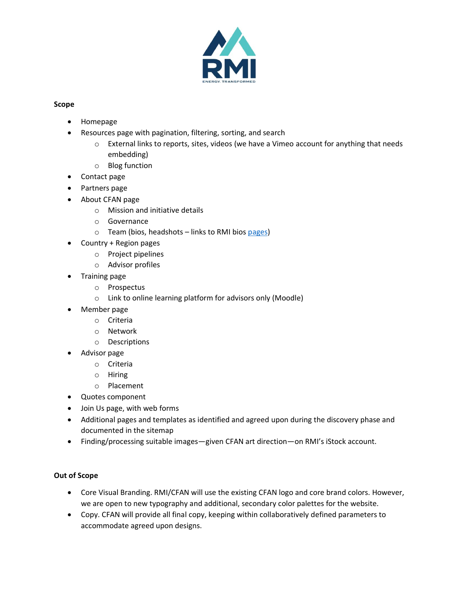

### **Scope**

- Homepage
- Resources page with pagination, filtering, sorting, and search
	- o External links to reports, sites, videos (we have a Vimeo account for anything that needs embedding)
	- o Blog function
- Contact page
- Partners page
- About CFAN page
	- o Mission and initiative details
	- o Governance
	- o Team (bios, headshots links to RMI bios [pages\)](https://rmi.org/about/people/)
- Country + Region pages
	- o Project pipelines
	- o Advisor profiles
- Training page
	- o Prospectus
	- o Link to online learning platform for advisors only (Moodle)
- Member page
	- o Criteria
	- o Network
	- o Descriptions
- Advisor page
	- o Criteria
	- o Hiring
	- o Placement
- Quotes component
- Join Us page, with web forms
- Additional pages and templates as identified and agreed upon during the discovery phase and documented in the sitemap
- Finding/processing suitable images—given CFAN art direction—on RMI's iStock account.

## **Out of Scope**

- Core Visual Branding. RMI/CFAN will use the existing CFAN logo and core brand colors. However, we are open to new typography and additional, secondary color palettes for the website.
- Copy. CFAN will provide all final copy, keeping within collaboratively defined parameters to accommodate agreed upon designs.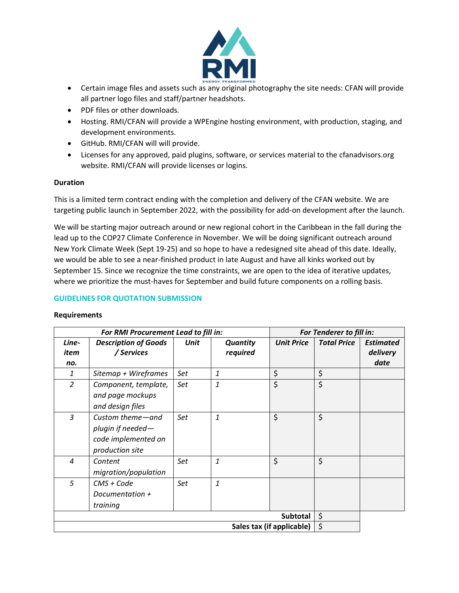

- Certain image files and assets such as any original photography the site needs: CFAN will provide all partner logo files and staff/partner headshots.
- PDF files or other downloads.
- Hosting. RMI/CFAN will provide a WPEngine hosting environment, with production, staging, and development environments.
- GitHub. RMI/CFAN will will provide.
- Licenses for any approved, paid plugins, software, or services material to the cfanadvisors.org website. RMI/CFAN will provide licenses or logins.

### **Duration**

This is a limited term contract ending with the completion and delivery of the CFAN website. We are targeting public launch in September 2022, with the possibility for add-on development after the launch.

We will be starting major outreach around or new regional cohort in the Caribbean in the fall during the lead up to the COP27 Climate Conference in November. We will be doing significant outreach around New York Climate Week (Sept 19-25) and so hope to have a redesigned site ahead of this date. Ideally, we would be able to see a near-finished product in late August and have all kinks worked out by September 15. Since we recognize the time constraints, we are open to the idea of iterative updates, where we prioritize the must-haves for September and build future components on a rolling basis.

### **GUIDELINES FOR QUOTATION SUBMISSION**

### **Requirements**

|                                 | For RMI Procurement Lead to fill in:                                            |      |                             |                   | For Tenderer to fill in: |                                      |
|---------------------------------|---------------------------------------------------------------------------------|------|-----------------------------|-------------------|--------------------------|--------------------------------------|
| Line-<br>item<br>no.            | <b>Description of Goods</b><br>/ Services                                       | Unit | <b>Quantity</b><br>required | <b>Unit Price</b> | <b>Total Price</b>       | <b>Estimated</b><br>delivery<br>date |
| 1                               | Sitemap + Wireframes                                                            | Set  | $\mathbf{1}$                | \$                | \$                       |                                      |
| $\overline{2}$                  | Component, template,<br>and page mockups<br>and design files                    | Set  | $\mathbf{1}$                | \$                | \$                       |                                      |
| 3                               | Custom theme-and<br>plugin if needed-<br>code implemented on<br>production site | Set  | $\mathbf{1}$                | \$                | \$                       |                                      |
| $\overline{a}$                  | Content<br>migration/population                                                 | Set  | $\mathbf{1}$                | \$                | \$                       |                                      |
| 5                               | CMS + Code<br>Documentation +<br>training                                       | Set  | $\mathbf{1}$                |                   |                          |                                      |
|                                 | <b>Subtotal</b>                                                                 |      |                             | \$                |                          |                                      |
| \$<br>Sales tax (if applicable) |                                                                                 |      |                             |                   |                          |                                      |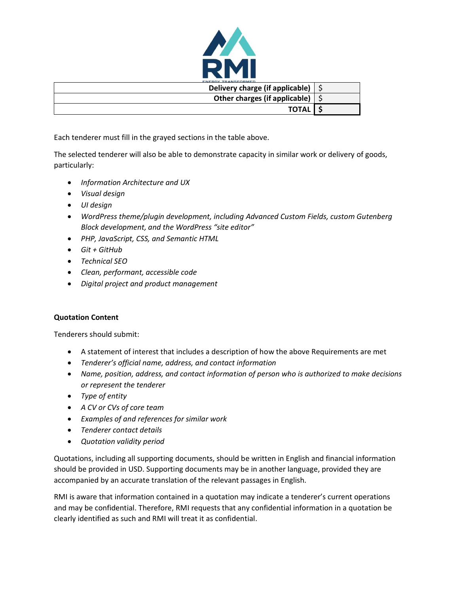

| Delivery charge (if applicable)             |  |
|---------------------------------------------|--|
| Other charges (if applicable) $\frac{1}{2}$ |  |
| <b>TOTAL</b>                                |  |

Each tenderer must fill in the grayed sections in the table above.

The selected tenderer will also be able to demonstrate capacity in similar work or delivery of goods, particularly:

- *Information Architecture and UX*
- *Visual design*
- *UI design*
- *WordPress theme/plugin development, including Advanced Custom Fields, custom Gutenberg Block development, and the WordPress "site editor"*
- *PHP, JavaScript, CSS, and Semantic HTML*
- *Git + GitHub*
- *Technical SEO*
- *Clean, performant, accessible code*
- *Digital project and product management*

## **Quotation Content**

Tenderers should submit:

- A statement of interest that includes a description of how the above Requirements are met
- *Tenderer's official name, address, and contact information*
- *Name, position, address, and contact information of person who is authorized to make decisions or represent the tenderer*
- *Type of entity*
- *A CV or CVs of core team*
- *Examples of and references for similar work*
- *Tenderer contact details*
- *Quotation validity period*

Quotations, including all supporting documents, should be written in English and financial information should be provided in USD. Supporting documents may be in another language, provided they are accompanied by an accurate translation of the relevant passages in English.

RMI is aware that information contained in a quotation may indicate a tenderer's current operations and may be confidential. Therefore, RMI requests that any confidential information in a quotation be clearly identified as such and RMI will treat it as confidential.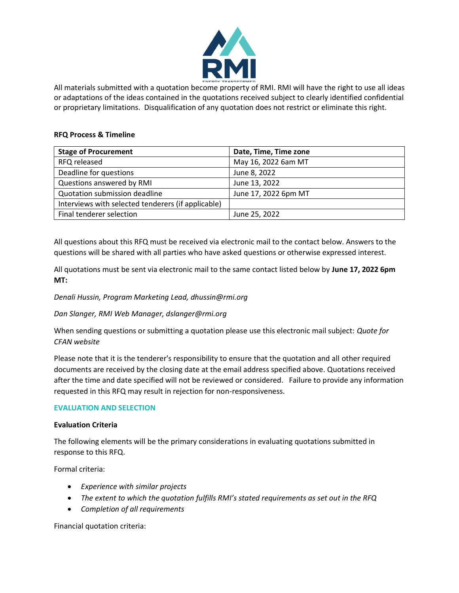

All materials submitted with a quotation become property of RMI. RMI will have the right to use all ideas or adaptations of the ideas contained in the quotations received subject to clearly identified confidential or proprietary limitations. Disqualification of any quotation does not restrict or eliminate this right.

### **RFQ Process & Timeline**

| <b>Stage of Procurement</b>                        | Date, Time, Time zone |
|----------------------------------------------------|-----------------------|
| RFQ released                                       | May 16, 2022 6am MT   |
| Deadline for questions                             | June 8, 2022          |
| Questions answered by RMI                          | June 13, 2022         |
| Quotation submission deadline                      | June 17, 2022 6pm MT  |
| Interviews with selected tenderers (if applicable) |                       |
| Final tenderer selection                           | June 25, 2022         |

All questions about this RFQ must be received via electronic mail to the contact below. Answers to the questions will be shared with all parties who have asked questions or otherwise expressed interest.

All quotations must be sent via electronic mail to the same contact listed below by **June 17, 2022 6pm MT:**

*Denali Hussin, Program Marketing Lead, dhussin@rmi.org*

*Dan Slanger, RMI Web Manager, dslanger@rmi.org* 

When sending questions or submitting a quotation please use this electronic mail subject: *Quote for CFAN website*

Please note that it is the tenderer's responsibility to ensure that the quotation and all other required documents are received by the closing date at the email address specified above. Quotations received after the time and date specified will not be reviewed or considered. Failure to provide any information requested in this RFQ may result in rejection for non-responsiveness.

### **EVALUATION AND SELECTION**

### **Evaluation Criteria**

The following elements will be the primary considerations in evaluating quotations submitted in response to this RFQ.

Formal criteria:

- *Experience with similar projects*
- *The extent to which the quotation fulfills RMI's stated requirements as set out in the RFQ*
- *Completion of all requirements*

Financial quotation criteria: